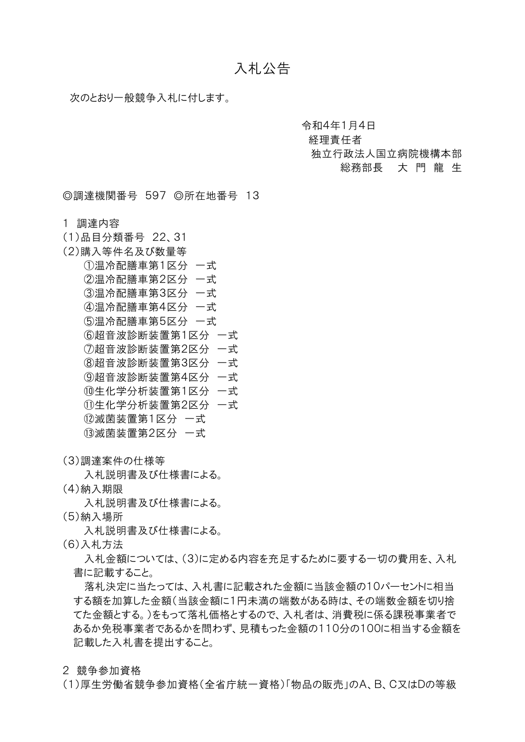## 入札公告

次のとおり一般競争入札に付します。

令和4年1月4日

経理責任者

独立行政法人国立病院機構本部

総務部長 大 門 龍 生

◎調達機関番号 597 ◎所在地番号 13

1 調達内容

- (1)品目分類番号 22、31
- (2)購入等件名及び数量等

①温冷配膳車第1区分 一式 ②温冷配膳車第2区分 一式 ③温冷配膳車第3区分 一式 ④温冷配膳車第4区分 一式 ⑤温冷配膳車第5区分 一式 ⑥超音波診断装置第1区分 一式 ⑦超音波診断装置第2区分 一式 ⑧超音波診断装置第3区分 一式 ⑨超音波診断装置第4区分 一式 ⑩生化学分析装置第1区分 一式 ⑪生化学分析装置第2区分 一式 ⑫滅菌装置第1区分 一式 ⑬滅菌装置第2区分 一式

(3)調達案件の仕様等

入札説明書及び仕様書による。

(4)納入期限

入札説明書及び仕様書による。

(5)納入場所

入札説明書及び仕様書による。

(6)入札方法

入札金額については、(3)に定める内容を充足するために要する一切の費用を、入札 書に記載すること。

落札決定に当たっては、入札書に記載された金額に当該金額の10パーセントに相当 する額を加算した金額(当該金額に1円未満の端数がある時は、その端数金額を切り捨 てた金額とする。)をもって落札価格とするので、入札者は、消費税に係る課税事業者で あるか免税事業者であるかを問わず、見積もった金額の110分の100に相当する金額を 記載した入札書を提出すること。

## 2 競争参加資格

(1)厚生労働省競争参加資格(全省庁統一資格)「物品の販売」のA、B、C又はDの等級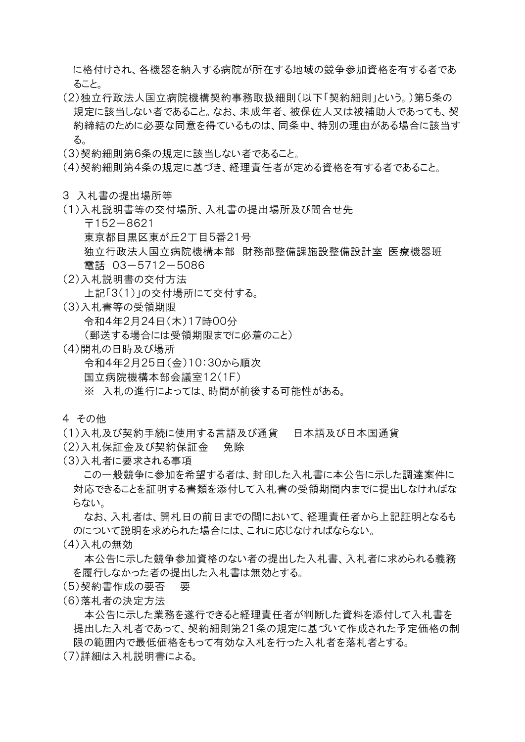に格付けされ、各機器を納入する病院が所在する地域の競争参加資格を有する者であ ること。

- (2)独立行政法人国立病院機構契約事務取扱細則(以下「契約細則」という。)第5条の 規定に該当しない者であること。なお、未成年者、被保佐人又は被補助人であっても、契 約締結のために必要な同意を得ているものは、同条中、特別の理由がある場合に該当す る。
- (3)契約細則第6条の規定に該当しない者であること。
- (4)契約細則第4条の規定に基づき、経理責任者が定める資格を有する者であること。

3 入札書の提出場所等

(1)入札説明書等の交付場所、入札書の提出場所及び問合せ先

〒152-8621

東京都目黒区東が丘2丁目5番21号

独立行政法人国立病院機構本部 財務部整備課施設整備設計室 医療機器班 電話 03-5712-5086

(2)入札説明書の交付方法

上記「3(1)」の交付場所にて交付する。

- (3)入札書等の受領期限 令和4年2月24日(木)17時00分 (郵送する場合には受領期限までに必着のこと)
- (4)開札の日時及び場所 令和4年2月25日(金)10:30から順次 国立病院機構本部会議室12(1F) ※ 入札の進行によっては、時間が前後する可能性がある。
- 4 その他
- (1)入札及び契約手続に使用する言語及び通貨 日本語及び日本国通貨
- (2)入札保証金及び契約保証金 免除
- (3)入札者に要求される事項

この一般競争に参加を希望する者は、封印した入札書に本公告に示した調達案件に 対応できることを証明する書類を添付して入札書の受領期間内までに提出しなければな らない。

なお、入札者は、開札日の前日までの間において、経理責任者から上記証明となるも のについて説明を求められた場合には、これに応じなければならない。

(4)入札の無効

本公告に示した競争参加資格のない者の提出した入札書、入札者に求められる義務 を履行しなかった者の提出した入札書は無効とする。

- (5)契約書作成の要否 要
- (6)落札者の決定方法

本公告に示した業務を遂行できると経理責任者が判断した資料を添付して入札書を 提出した入札者であって、契約細則第21条の規定に基づいて作成された予定価格の制 限の範囲内で最低価格をもって有効な入札を行った入札者を落札者とする。

(7)詳細は入札説明書による。